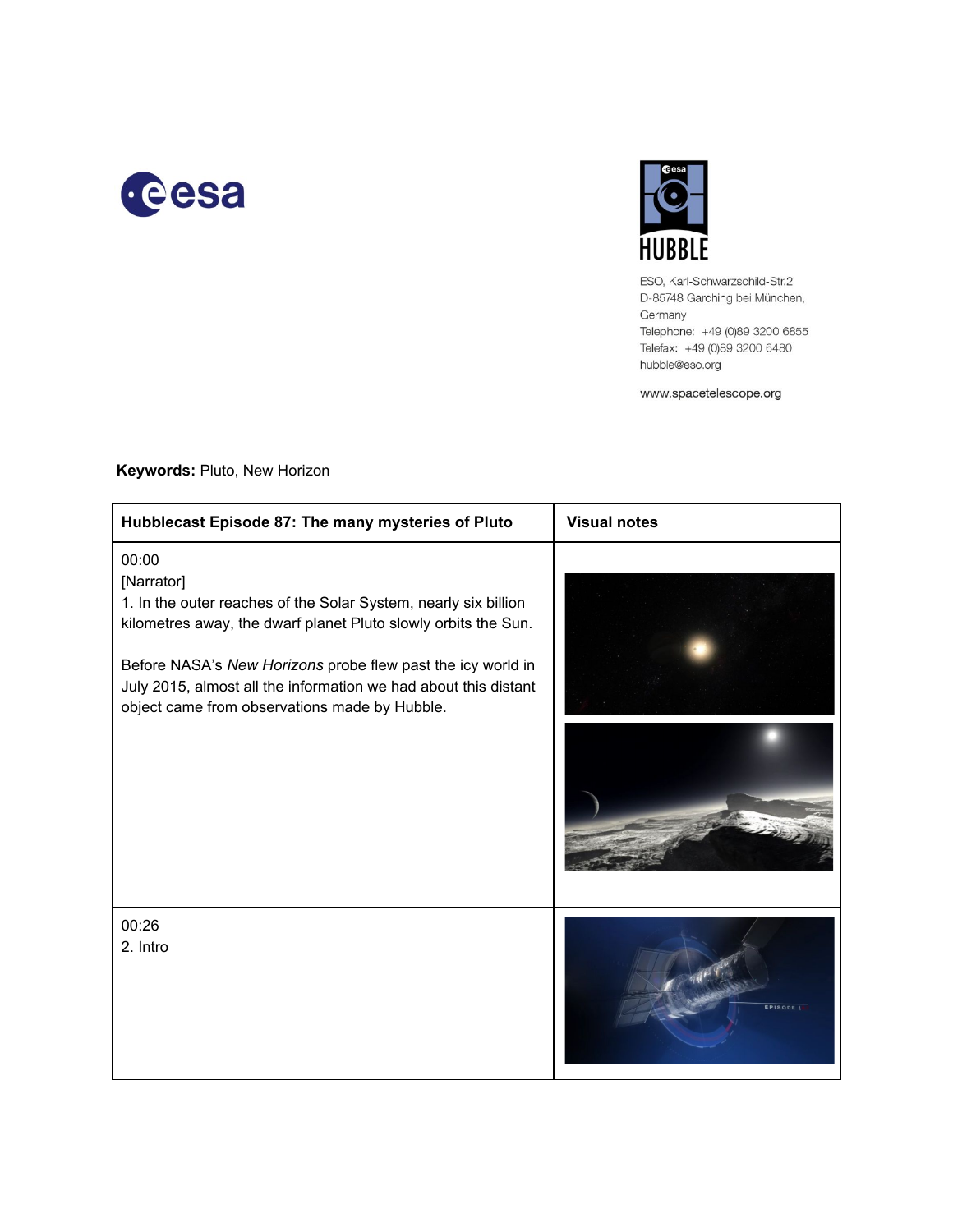



ESO, Karl-Schwarzschild-Str.2 D-85748 Garching bei München, Germany Telephone: +49 (0)89 3200 6855 Telefax: +49 (0)89 3200 6480 hubble@eso.org

www.spacetelescope.org

| Hubblecast Episode 87: The many mysteries of Pluto                                                                                                                                                                                                                                                                                          | <b>Visual notes</b> |
|---------------------------------------------------------------------------------------------------------------------------------------------------------------------------------------------------------------------------------------------------------------------------------------------------------------------------------------------|---------------------|
| 00:00<br>[Narrator]<br>1. In the outer reaches of the Solar System, nearly six billion<br>kilometres away, the dwarf planet Pluto slowly orbits the Sun.<br>Before NASA's New Horizons probe flew past the icy world in<br>July 2015, almost all the information we had about this distant<br>object came from observations made by Hubble. | - 1 av.             |
| 00:26<br>2. Intro                                                                                                                                                                                                                                                                                                                           | EPISODE I           |

## **Keywords: Pluto, New Horizon**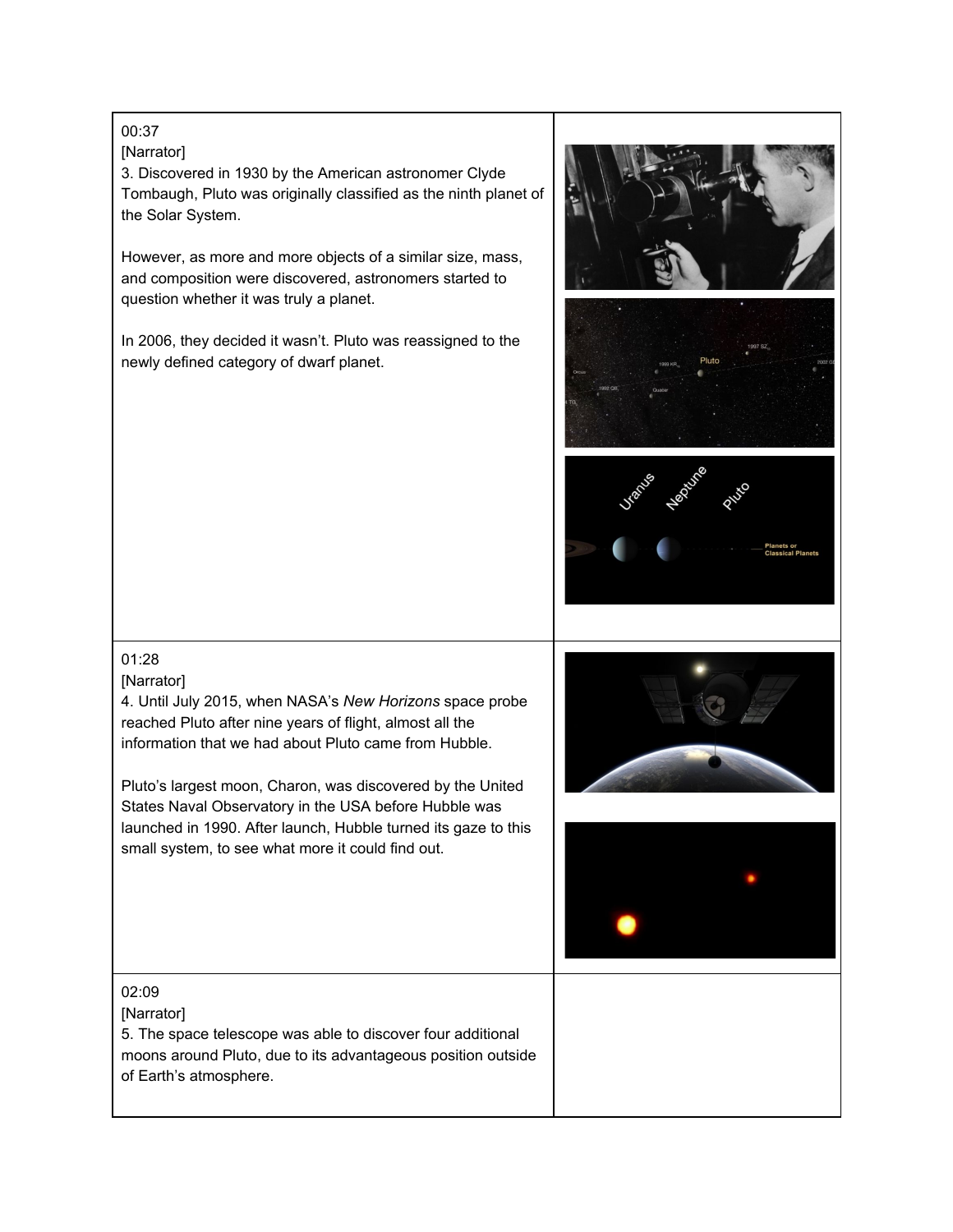# 00:37

### [Narrator]

3. Discovered in 1930 by the American astronomer Clyde Tombaugh, Pluto was originally classified as the ninth planet of the Solar System.

However, as more and more objects of a similar size, mass, and composition were discovered, astronomers started to question whether it was truly a planet.

In 2006, they decided it wasn't. Pluto was reassigned to the newly defined category of dwarf planet.





## 01:28

### [Narrator]

4. Until July 2015, when NASA's *New Horizons* space probe reached Pluto after nine years of flight, almost all the information that we had about Pluto came from Hubble.

Pluto's largest moon, Charon, was discovered by the United States Naval Observatory in the USA before Hubble was launched in 1990. After launch, Hubble turned its gaze to this small system, to see what more it could find out.





### 02:09

[Narrator]

5. The space telescope was able to discover four additional moons around Pluto, due to its advantageous position outside of Earth's atmosphere.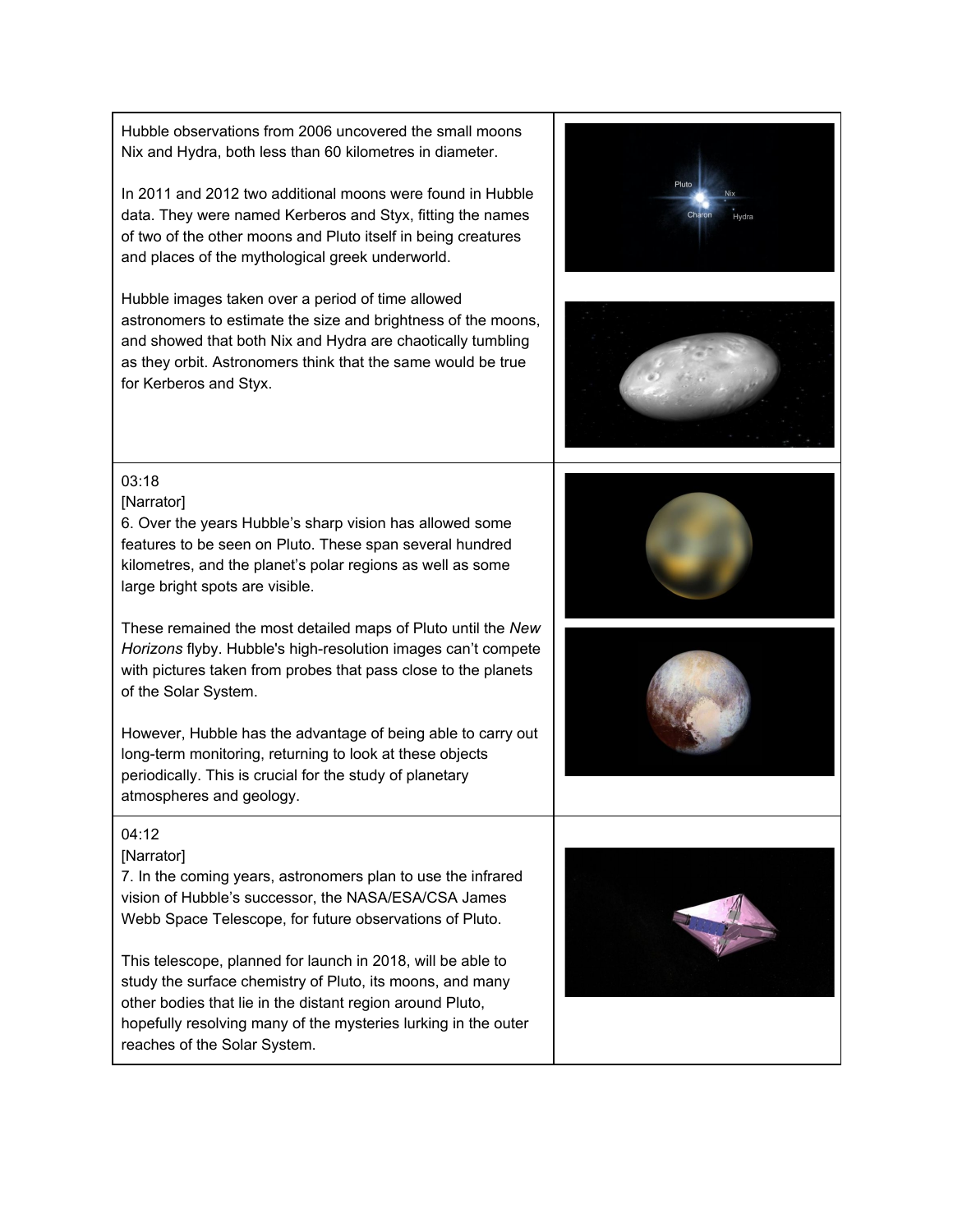Hubble observations from 2006 uncovered the small moons Nix and Hydra, both less than 60 kilometres in diameter. In 2011 and 2012 two additional moons were found in Hubble data. They were named Kerberos and Styx, fitting the names of two of the other moons and Pluto itself in being creatures and places of the mythological greek underworld. Hubble images taken over a period of time allowed astronomers to estimate the size and brightness of the moons, and showed that both Nix and Hydra are chaotically tumbling as they orbit. Astronomers think that the same would be true for Kerberos and Styx. 03:18 [Narrator] 6. Over the years Hubble's sharp vision has allowed some features to be seen on Pluto. These span several hundred kilometres, and the planet's polar regions as well as some large bright spots are visible. These remained the most detailed maps of Pluto until the *New* Horizons flyby. Hubble's high-resolution images can't compete with pictures taken from probes that pass close to the planets of the Solar System. However, Hubble has the advantage of being able to carry out long-term monitoring, returning to look at these objects periodically. This is crucial for the study of planetary atmospheres and geology. 04:12 [Narrator] 7. In the coming years, astronomers plan to use the infrared vision of Hubble's successor, the NASA/ESA/CSA James Webb Space Telescope, for future observations of Pluto. This telescope, planned for launch in 2018, will be able to study the surface chemistry of Pluto, its moons, and many other bodies that lie in the distant region around Pluto, hopefully resolving many of the mysteries lurking in the outer reaches of the Solar System.